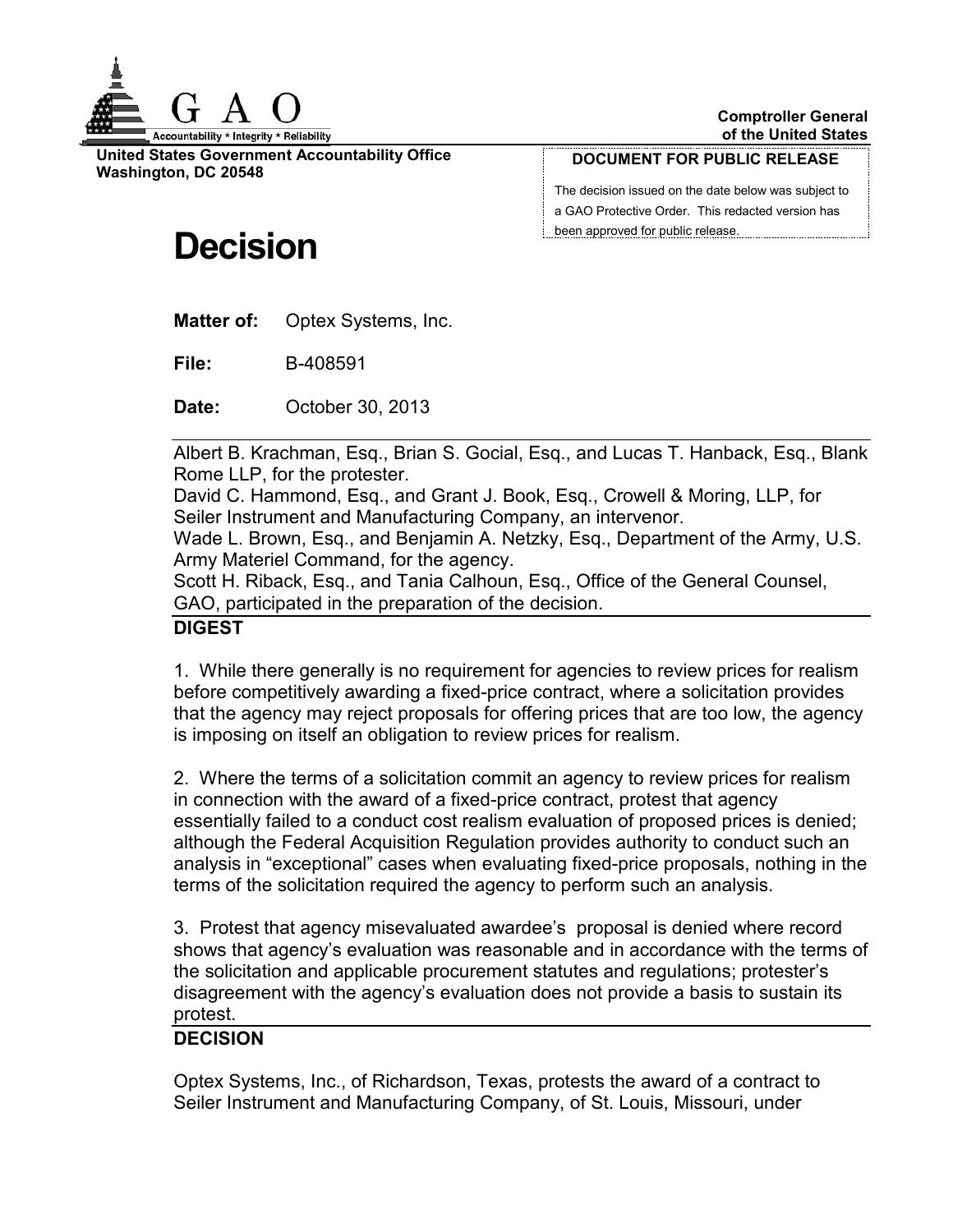

**United States Government Accountability Office Washington, DC 20548**

#### **DOCUMENT FOR PUBLIC RELEASE**

The decision issued on the date below was subject to a GAO Protective Order. This redacted version has been approved for public release.

# **Decision**

**Matter of:** Optex Systems, Inc.

**File:** B-408591

**Date:** October 30, 2013

Albert B. Krachman, Esq., Brian S. Gocial, Esq., and Lucas T. Hanback, Esq., Blank Rome LLP, for the protester.

David C. Hammond, Esq., and Grant J. Book, Esq., Crowell & Moring, LLP, for Seiler Instrument and Manufacturing Company, an intervenor.

Wade L. Brown, Esq., and Benjamin A. Netzky, Esq., Department of the Army, U.S. Army Materiel Command, for the agency.

Scott H. Riback, Esq., and Tania Calhoun, Esq., Office of the General Counsel, GAO, participated in the preparation of the decision.

## **DIGEST**

1. While there generally is no requirement for agencies to review prices for realism before competitively awarding a fixed-price contract, where a solicitation provides that the agency may reject proposals for offering prices that are too low, the agency is imposing on itself an obligation to review prices for realism.

2. Where the terms of a solicitation commit an agency to review prices for realism in connection with the award of a fixed-price contract, protest that agency essentially failed to a conduct cost realism evaluation of proposed prices is denied; although the Federal Acquisition Regulation provides authority to conduct such an analysis in "exceptional" cases when evaluating fixed-price proposals, nothing in the terms of the solicitation required the agency to perform such an analysis.

3. Protest that agency misevaluated awardee's proposal is denied where record shows that agency's evaluation was reasonable and in accordance with the terms of the solicitation and applicable procurement statutes and regulations; protester's disagreement with the agency's evaluation does not provide a basis to sustain its protest.

## **DECISION**

Optex Systems, Inc., of Richardson, Texas, protests the award of a contract to Seiler Instrument and Manufacturing Company, of St. Louis, Missouri, under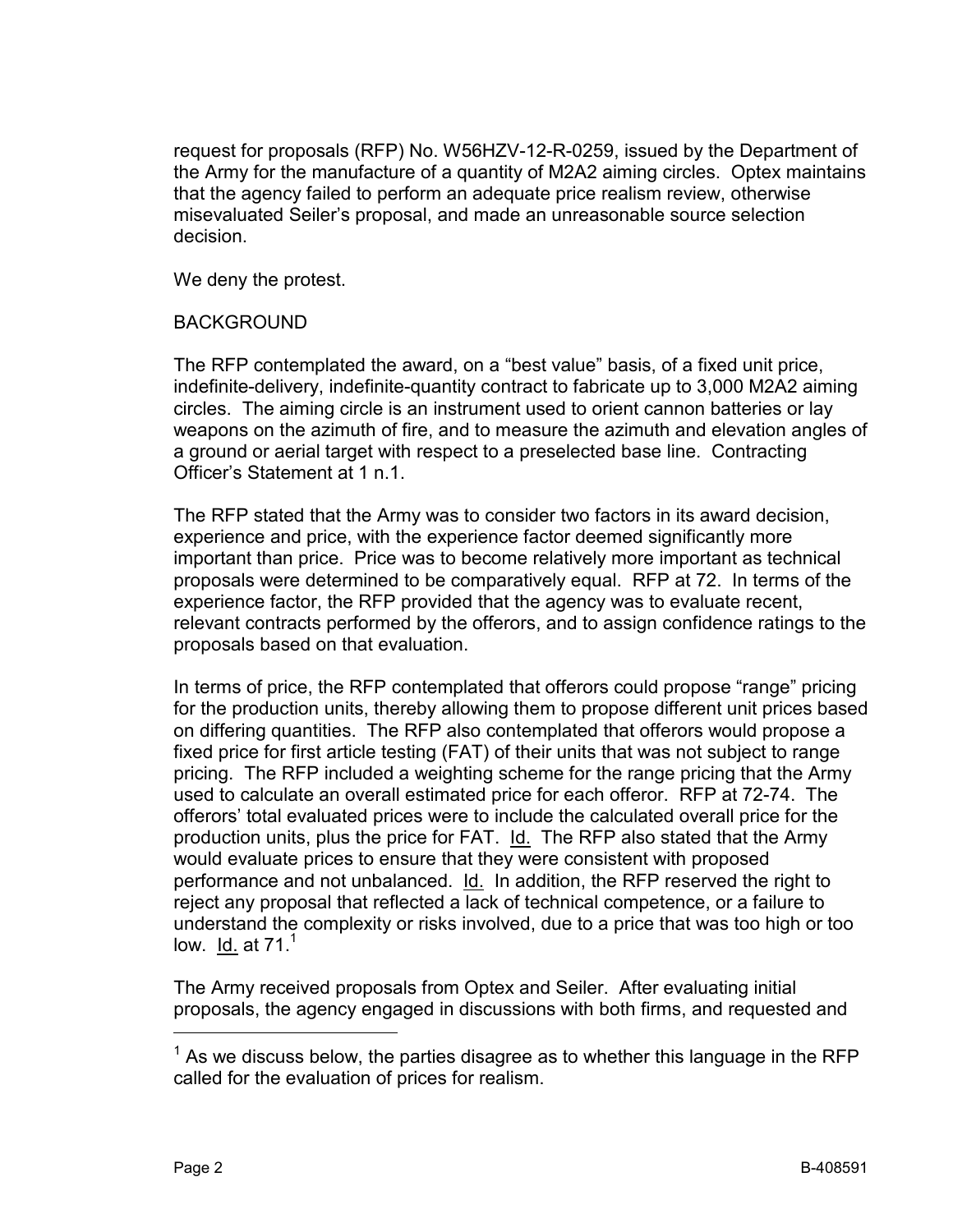request for proposals (RFP) No. W56HZV-12-R-0259, issued by the Department of the Army for the manufacture of a quantity of M2A2 aiming circles. Optex maintains that the agency failed to perform an adequate price realism review, otherwise misevaluated Seiler's proposal, and made an unreasonable source selection decision.

We deny the protest.

## BACKGROUND

The RFP contemplated the award, on a "best value" basis, of a fixed unit price, indefinite-delivery, indefinite-quantity contract to fabricate up to 3,000 M2A2 aiming circles. The aiming circle is an instrument used to orient cannon batteries or lay weapons on the azimuth of fire, and to measure the azimuth and elevation angles of a ground or aerial target with respect to a preselected base line. Contracting Officer's Statement at 1 n.1.

The RFP stated that the Army was to consider two factors in its award decision, experience and price, with the experience factor deemed significantly more important than price. Price was to become relatively more important as technical proposals were determined to be comparatively equal. RFP at 72. In terms of the experience factor, the RFP provided that the agency was to evaluate recent, relevant contracts performed by the offerors, and to assign confidence ratings to the proposals based on that evaluation.

In terms of price, the RFP contemplated that offerors could propose "range" pricing for the production units, thereby allowing them to propose different unit prices based on differing quantities. The RFP also contemplated that offerors would propose a fixed price for first article testing (FAT) of their units that was not subject to range pricing. The RFP included a weighting scheme for the range pricing that the Army used to calculate an overall estimated price for each offeror. RFP at 72-74. The offerors' total evaluated prices were to include the calculated overall price for the production units, plus the price for FAT. Id. The RFP also stated that the Army would evaluate prices to ensure that they were consistent with proposed performance and not unbalanced. Id. In addition, the RFP reserved the right to reject any proposal that reflected a lack of technical competence, or a failure to understand the complexity or risks involved, due to a price that was too high or too low. Id. at  $71<sup>1</sup>$ 

The Army received proposals from Optex and Seiler. After evaluating initial proposals, the agency engaged in discussions with both firms, and requested and

 $\overline{a}$ 

 $1$  As we discuss below, the parties disagree as to whether this language in the RFP called for the evaluation of prices for realism.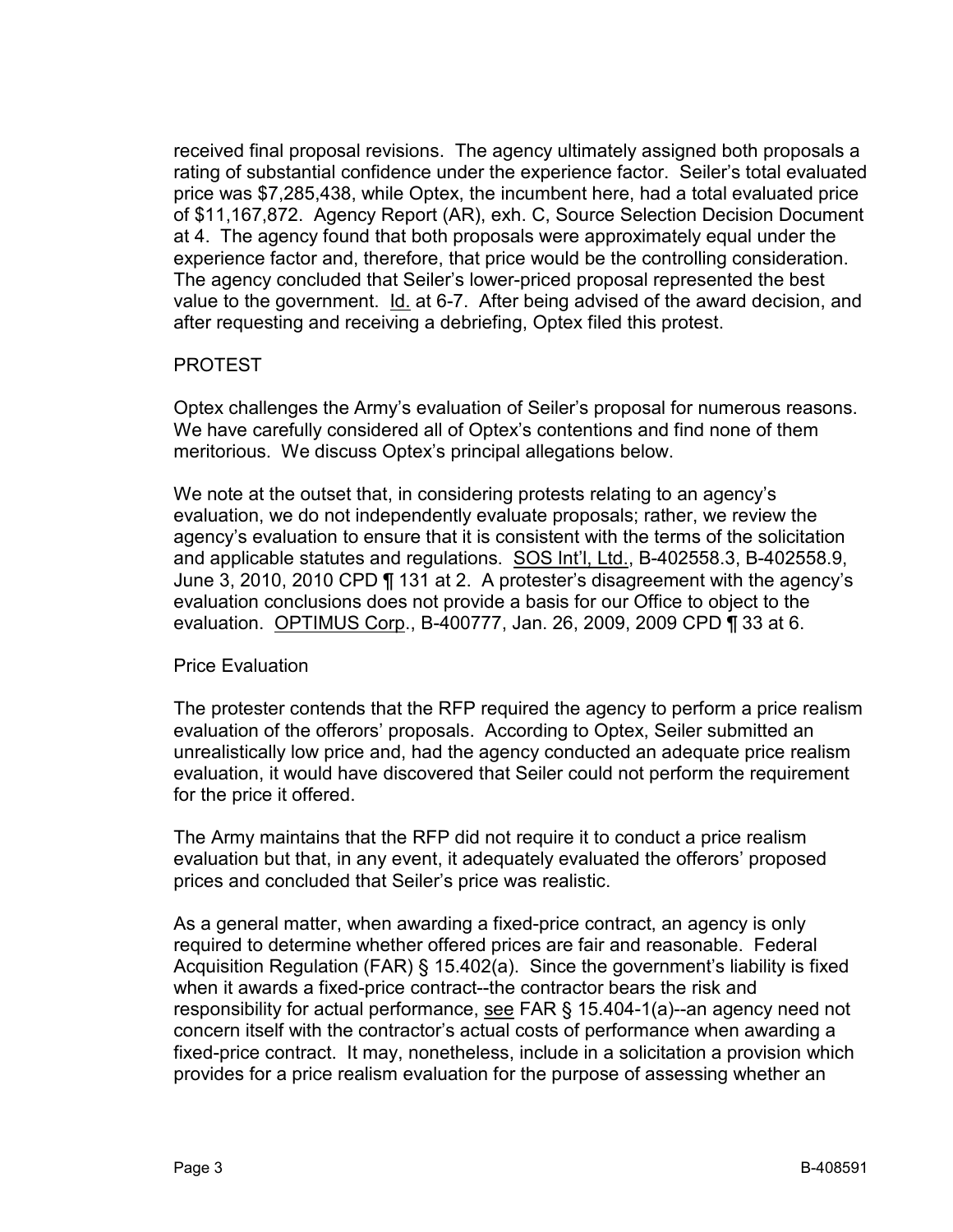received final proposal revisions. The agency ultimately assigned both proposals a rating of substantial confidence under the experience factor. Seiler's total evaluated price was \$7,285,438, while Optex, the incumbent here, had a total evaluated price of \$11,167,872. Agency Report (AR), exh. C, Source Selection Decision Document at 4. The agency found that both proposals were approximately equal under the experience factor and, therefore, that price would be the controlling consideration. The agency concluded that Seiler's lower-priced proposal represented the best value to the government. Id. at 6-7. After being advised of the award decision, and after requesting and receiving a debriefing, Optex filed this protest.

### PROTEST

Optex challenges the Army's evaluation of Seiler's proposal for numerous reasons. We have carefully considered all of Optex's contentions and find none of them meritorious. We discuss Optex's principal allegations below.

We note at the outset that, in considering protests relating to an agency's evaluation, we do not independently evaluate proposals; rather, we review the agency's evaluation to ensure that it is consistent with the terms of the solicitation and applicable statutes and regulations. SOS Int'l, Ltd., B-402558.3, B-402558.9, June 3, 2010, 2010 CPD ¶ 131 at 2. A protester's disagreement with the agency's evaluation conclusions does not provide a basis for our Office to object to the evaluation. OPTIMUS Corp., B-400777, Jan. 26, 2009, 2009 CPD ¶ 33 at 6.

#### Price Evaluation

The protester contends that the RFP required the agency to perform a price realism evaluation of the offerors' proposals. According to Optex, Seiler submitted an unrealistically low price and, had the agency conducted an adequate price realism evaluation, it would have discovered that Seiler could not perform the requirement for the price it offered.

The Army maintains that the RFP did not require it to conduct a price realism evaluation but that, in any event, it adequately evaluated the offerors' proposed prices and concluded that Seiler's price was realistic.

As a general matter, when awarding a fixed-price contract, an agency is only required to determine whether offered prices are fair and reasonable. Federal Acquisition Regulation (FAR) § 15.402(a). Since the government's liability is fixed when it awards a fixed-price contract--the contractor bears the risk and responsibility for actual performance, see FAR § 15.404-1(a)--an agency need not concern itself with the contractor's actual costs of performance when awarding a fixed-price contract. It may, nonetheless, include in a solicitation a provision which provides for a price realism evaluation for the purpose of assessing whether an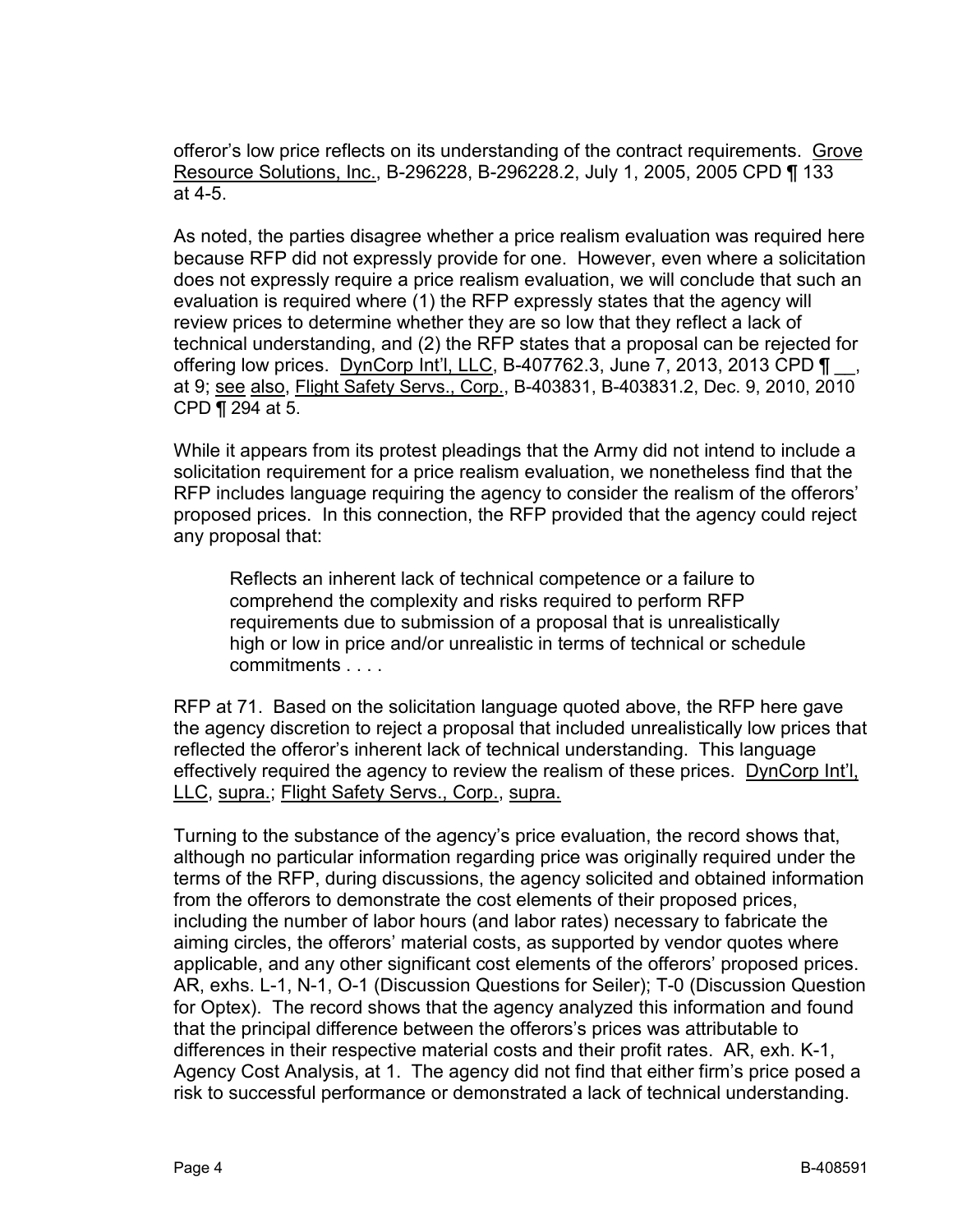offeror's low price reflects on its understanding of the contract requirements. Grove Resource Solutions, Inc., B-296228, B-296228.2, July 1, 2005, 2005 CPD ¶ 133 at 4-5.

As noted, the parties disagree whether a price realism evaluation was required here because RFP did not expressly provide for one. However, even where a solicitation does not expressly require a price realism evaluation, we will conclude that such an evaluation is required where (1) the RFP expressly states that the agency will review prices to determine whether they are so low that they reflect a lack of technical understanding, and (2) the RFP states that a proposal can be rejected for offering low prices. DynCorp Int'l, LLC, B-407762.3, June 7, 2013, 2013 CPD  $\P$ <sub>.</sub> at 9; see also, Flight Safety Servs., Corp., B-403831, B-403831.2, Dec. 9, 2010, 2010 CPD ¶ 294 at 5.

While it appears from its protest pleadings that the Army did not intend to include a solicitation requirement for a price realism evaluation, we nonetheless find that the RFP includes language requiring the agency to consider the realism of the offerors' proposed prices. In this connection, the RFP provided that the agency could reject any proposal that:

Reflects an inherent lack of technical competence or a failure to comprehend the complexity and risks required to perform RFP requirements due to submission of a proposal that is unrealistically high or low in price and/or unrealistic in terms of technical or schedule commitments . . . .

RFP at 71. Based on the solicitation language quoted above, the RFP here gave the agency discretion to reject a proposal that included unrealistically low prices that reflected the offeror's inherent lack of technical understanding. This language effectively required the agency to review the realism of these prices. DynCorp Int'l, LLC, supra.; Flight Safety Servs., Corp., supra.

Turning to the substance of the agency's price evaluation, the record shows that, although no particular information regarding price was originally required under the terms of the RFP, during discussions, the agency solicited and obtained information from the offerors to demonstrate the cost elements of their proposed prices, including the number of labor hours (and labor rates) necessary to fabricate the aiming circles, the offerors' material costs, as supported by vendor quotes where applicable, and any other significant cost elements of the offerors' proposed prices. AR, exhs. L-1, N-1, O-1 (Discussion Questions for Seiler); T-0 (Discussion Question for Optex). The record shows that the agency analyzed this information and found that the principal difference between the offerors's prices was attributable to differences in their respective material costs and their profit rates. AR, exh. K-1, Agency Cost Analysis, at 1. The agency did not find that either firm's price posed a risk to successful performance or demonstrated a lack of technical understanding.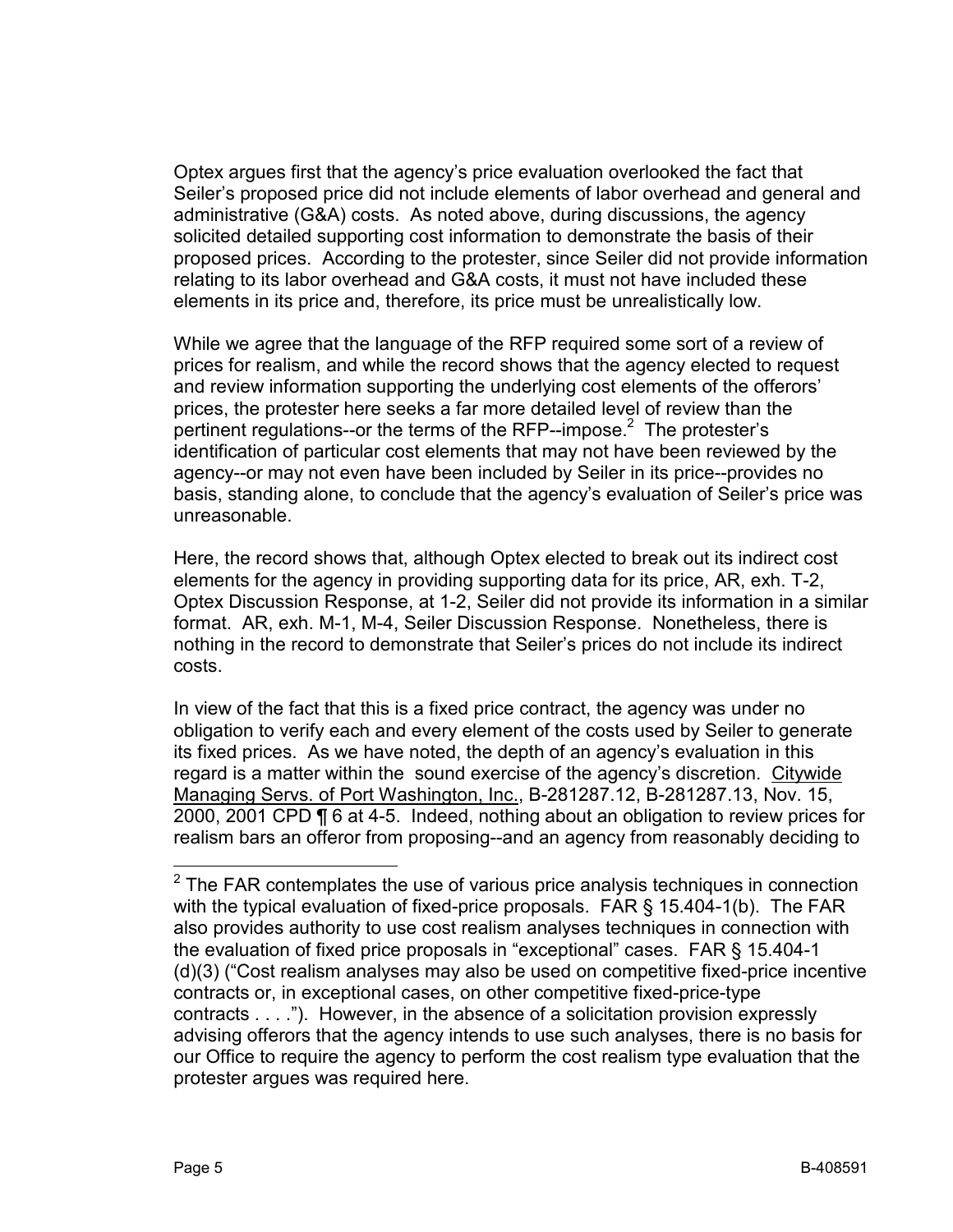Optex argues first that the agency's price evaluation overlooked the fact that Seiler's proposed price did not include elements of labor overhead and general and administrative (G&A) costs. As noted above, during discussions, the agency solicited detailed supporting cost information to demonstrate the basis of their proposed prices. According to the protester, since Seiler did not provide information relating to its labor overhead and G&A costs, it must not have included these elements in its price and, therefore, its price must be unrealistically low.

While we agree that the language of the RFP required some sort of a review of prices for realism, and while the record shows that the agency elected to request and review information supporting the underlying cost elements of the offerors' prices, the protester here seeks a far more detailed level of review than the pertinent regulations--or the terms of the RFP--impose.<sup>2</sup> The protester's identification of particular cost elements that may not have been reviewed by the agency--or may not even have been included by Seiler in its price--provides no basis, standing alone, to conclude that the agency's evaluation of Seiler's price was unreasonable.

Here, the record shows that, although Optex elected to break out its indirect cost elements for the agency in providing supporting data for its price, AR, exh. T-2, Optex Discussion Response, at 1-2, Seiler did not provide its information in a similar format. AR, exh. M-1, M-4, Seiler Discussion Response. Nonetheless, there is nothing in the record to demonstrate that Seiler's prices do not include its indirect costs.

In view of the fact that this is a fixed price contract, the agency was under no obligation to verify each and every element of the costs used by Seiler to generate its fixed prices. As we have noted, the depth of an agency's evaluation in this regard is a matter within the sound exercise of the agency's discretion. Citywide Managing Servs. of Port Washington, Inc., B-281287.12, B-281287.13, Nov. 15, 2000, 2001 CPD ¶ 6 at 4-5. Indeed, nothing about an obligation to review prices for realism bars an offeror from proposing--and an agency from reasonably deciding to

 $\overline{\phantom{a}}$  $2$  The FAR contemplates the use of various price analysis techniques in connection with the typical evaluation of fixed-price proposals. FAR § 15.404-1(b). The FAR also provides authority to use cost realism analyses techniques in connection with the evaluation of fixed price proposals in "exceptional" cases. FAR § 15.404-1 (d)(3) ("Cost realism analyses may also be used on competitive fixed-price incentive contracts or, in exceptional cases, on other competitive fixed-price-type contracts . . . ."). However, in the absence of a solicitation provision expressly advising offerors that the agency intends to use such analyses, there is no basis for our Office to require the agency to perform the cost realism type evaluation that the protester argues was required here.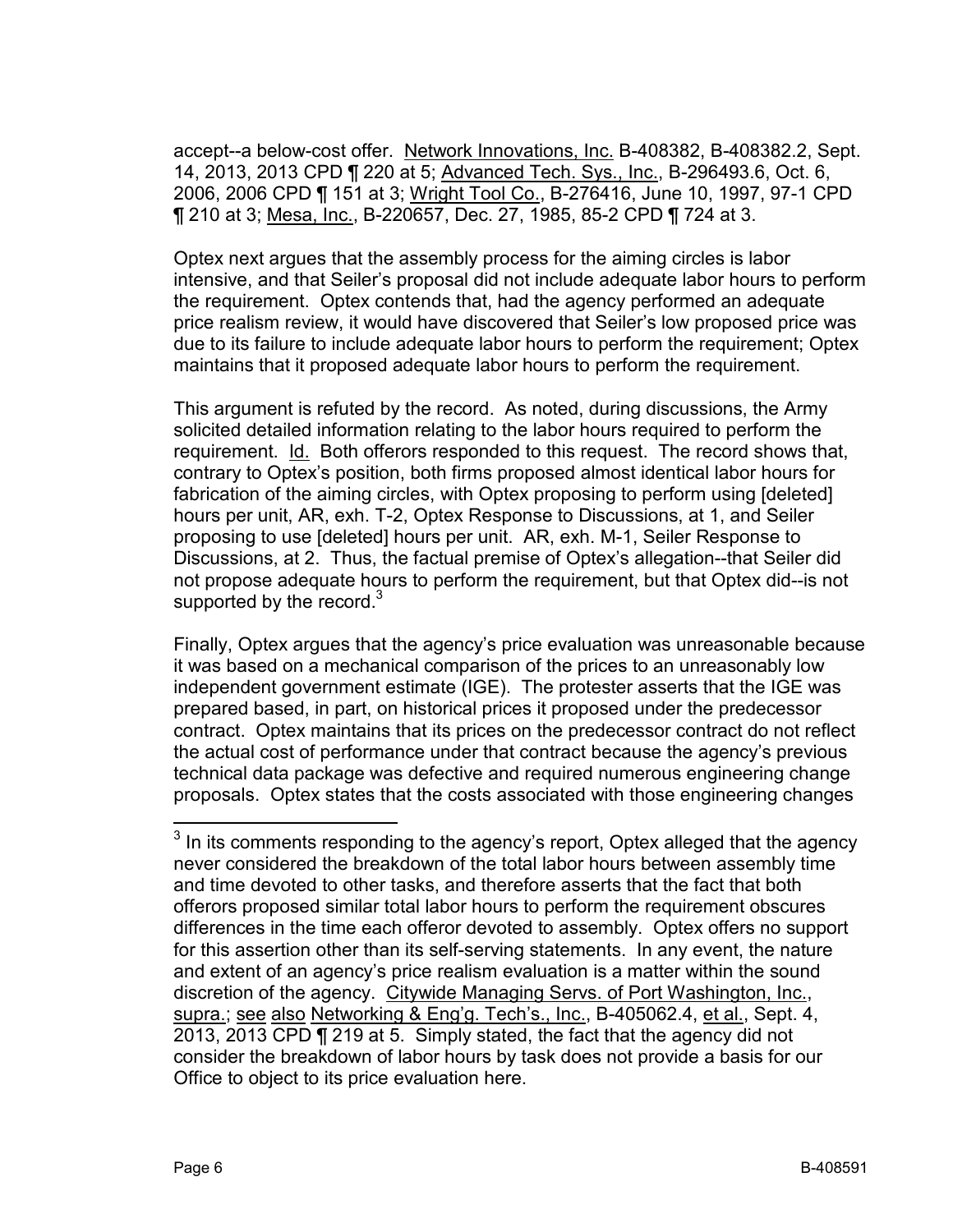accept--a below-cost offer. Network Innovations, Inc. B-408382, B-408382.2, Sept. 14, 2013, 2013 CPD ¶ 220 at 5; Advanced Tech. Sys., Inc., B-296493.6, Oct. 6, 2006, 2006 CPD ¶ 151 at 3; Wright Tool Co., B-276416, June 10, 1997, 97-1 CPD ¶ 210 at 3; Mesa, Inc., B-220657, Dec. 27, 1985, 85-2 CPD ¶ 724 at 3.

Optex next argues that the assembly process for the aiming circles is labor intensive, and that Seiler's proposal did not include adequate labor hours to perform the requirement. Optex contends that, had the agency performed an adequate price realism review, it would have discovered that Seiler's low proposed price was due to its failure to include adequate labor hours to perform the requirement; Optex maintains that it proposed adequate labor hours to perform the requirement.

This argument is refuted by the record. As noted, during discussions, the Army solicited detailed information relating to the labor hours required to perform the requirement. Id. Both offerors responded to this request. The record shows that, contrary to Optex's position, both firms proposed almost identical labor hours for fabrication of the aiming circles, with Optex proposing to perform using [deleted] hours per unit, AR, exh. T-2, Optex Response to Discussions, at 1, and Seiler proposing to use [deleted] hours per unit. AR, exh. M-1, Seiler Response to Discussions, at 2. Thus, the factual premise of Optex's allegation--that Seiler did not propose adequate hours to perform the requirement, but that Optex did--is not supported by the record. $3$ 

Finally, Optex argues that the agency's price evaluation was unreasonable because it was based on a mechanical comparison of the prices to an unreasonably low independent government estimate (IGE). The protester asserts that the IGE was prepared based, in part, on historical prices it proposed under the predecessor contract. Optex maintains that its prices on the predecessor contract do not reflect the actual cost of performance under that contract because the agency's previous technical data package was defective and required numerous engineering change proposals. Optex states that the costs associated with those engineering changes

 $\overline{\phantom{a}}$ 

 $3$  In its comments responding to the agency's report, Optex alleged that the agency never considered the breakdown of the total labor hours between assembly time and time devoted to other tasks, and therefore asserts that the fact that both offerors proposed similar total labor hours to perform the requirement obscures differences in the time each offeror devoted to assembly. Optex offers no support for this assertion other than its self-serving statements. In any event, the nature and extent of an agency's price realism evaluation is a matter within the sound discretion of the agency. Citywide Managing Servs. of Port Washington, Inc., supra.; see also Networking & Eng'g. Tech's., Inc., B-405062.4, et al., Sept. 4, 2013, 2013 CPD ¶ 219 at 5. Simply stated, the fact that the agency did not consider the breakdown of labor hours by task does not provide a basis for our Office to object to its price evaluation here.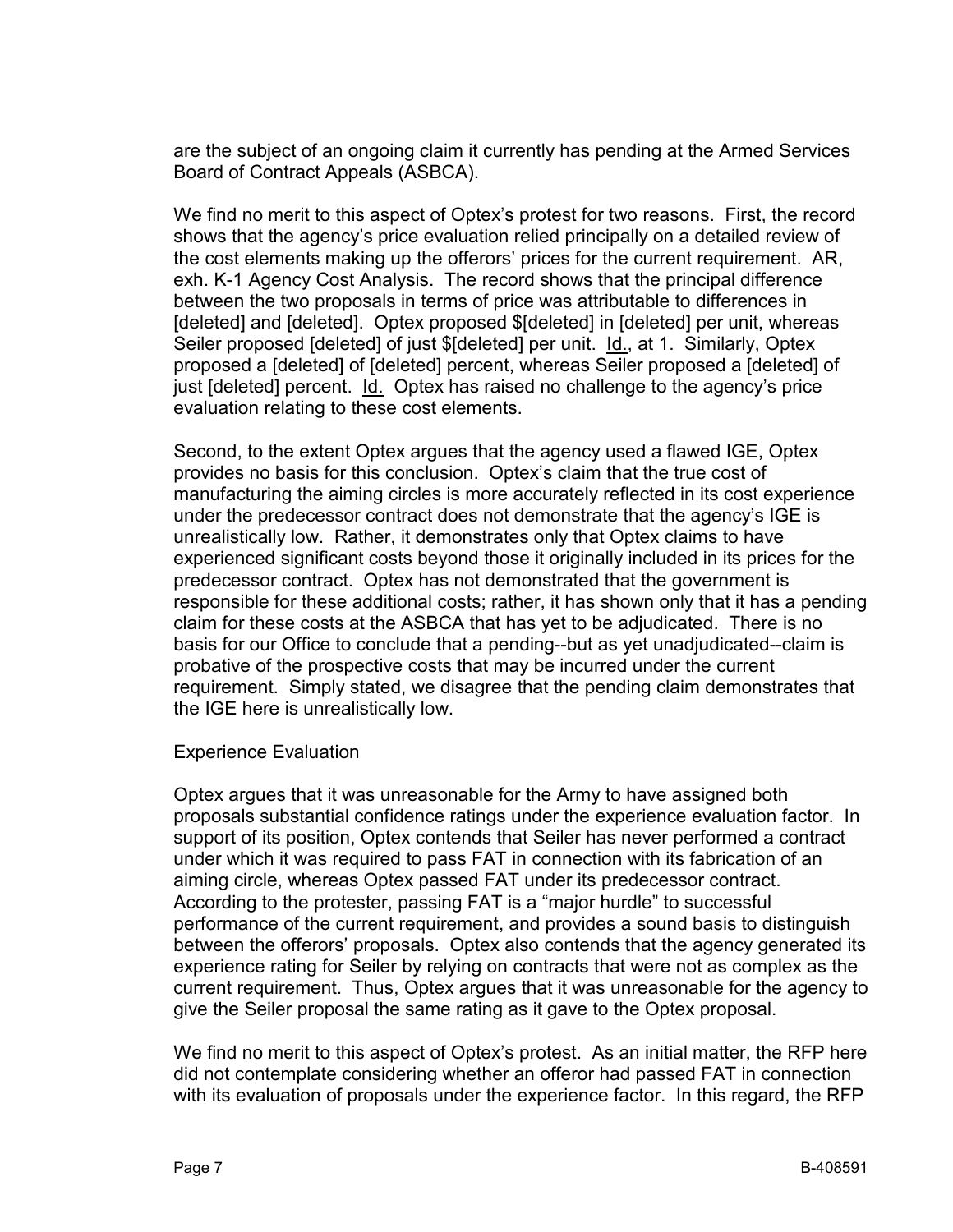are the subject of an ongoing claim it currently has pending at the Armed Services Board of Contract Appeals (ASBCA).

We find no merit to this aspect of Optex's protest for two reasons. First, the record shows that the agency's price evaluation relied principally on a detailed review of the cost elements making up the offerors' prices for the current requirement. AR, exh. K-1 Agency Cost Analysis. The record shows that the principal difference between the two proposals in terms of price was attributable to differences in [deleted] and [deleted]. Optex proposed \$[deleted] in [deleted] per unit, whereas Seiler proposed [deleted] of just \$[deleted] per unit. Id., at 1. Similarly, Optex proposed a [deleted] of [deleted] percent, whereas Seiler proposed a [deleted] of just [deleted] percent. Id. Optex has raised no challenge to the agency's price evaluation relating to these cost elements.

Second, to the extent Optex argues that the agency used a flawed IGE, Optex provides no basis for this conclusion. Optex's claim that the true cost of manufacturing the aiming circles is more accurately reflected in its cost experience under the predecessor contract does not demonstrate that the agency's IGE is unrealistically low. Rather, it demonstrates only that Optex claims to have experienced significant costs beyond those it originally included in its prices for the predecessor contract. Optex has not demonstrated that the government is responsible for these additional costs; rather, it has shown only that it has a pending claim for these costs at the ASBCA that has yet to be adjudicated. There is no basis for our Office to conclude that a pending--but as yet unadjudicated--claim is probative of the prospective costs that may be incurred under the current requirement. Simply stated, we disagree that the pending claim demonstrates that the IGE here is unrealistically low.

#### Experience Evaluation

Optex argues that it was unreasonable for the Army to have assigned both proposals substantial confidence ratings under the experience evaluation factor. In support of its position, Optex contends that Seiler has never performed a contract under which it was required to pass FAT in connection with its fabrication of an aiming circle, whereas Optex passed FAT under its predecessor contract. According to the protester, passing FAT is a "major hurdle" to successful performance of the current requirement, and provides a sound basis to distinguish between the offerors' proposals. Optex also contends that the agency generated its experience rating for Seiler by relying on contracts that were not as complex as the current requirement. Thus, Optex argues that it was unreasonable for the agency to give the Seiler proposal the same rating as it gave to the Optex proposal.

We find no merit to this aspect of Optex's protest. As an initial matter, the RFP here did not contemplate considering whether an offeror had passed FAT in connection with its evaluation of proposals under the experience factor. In this regard, the RFP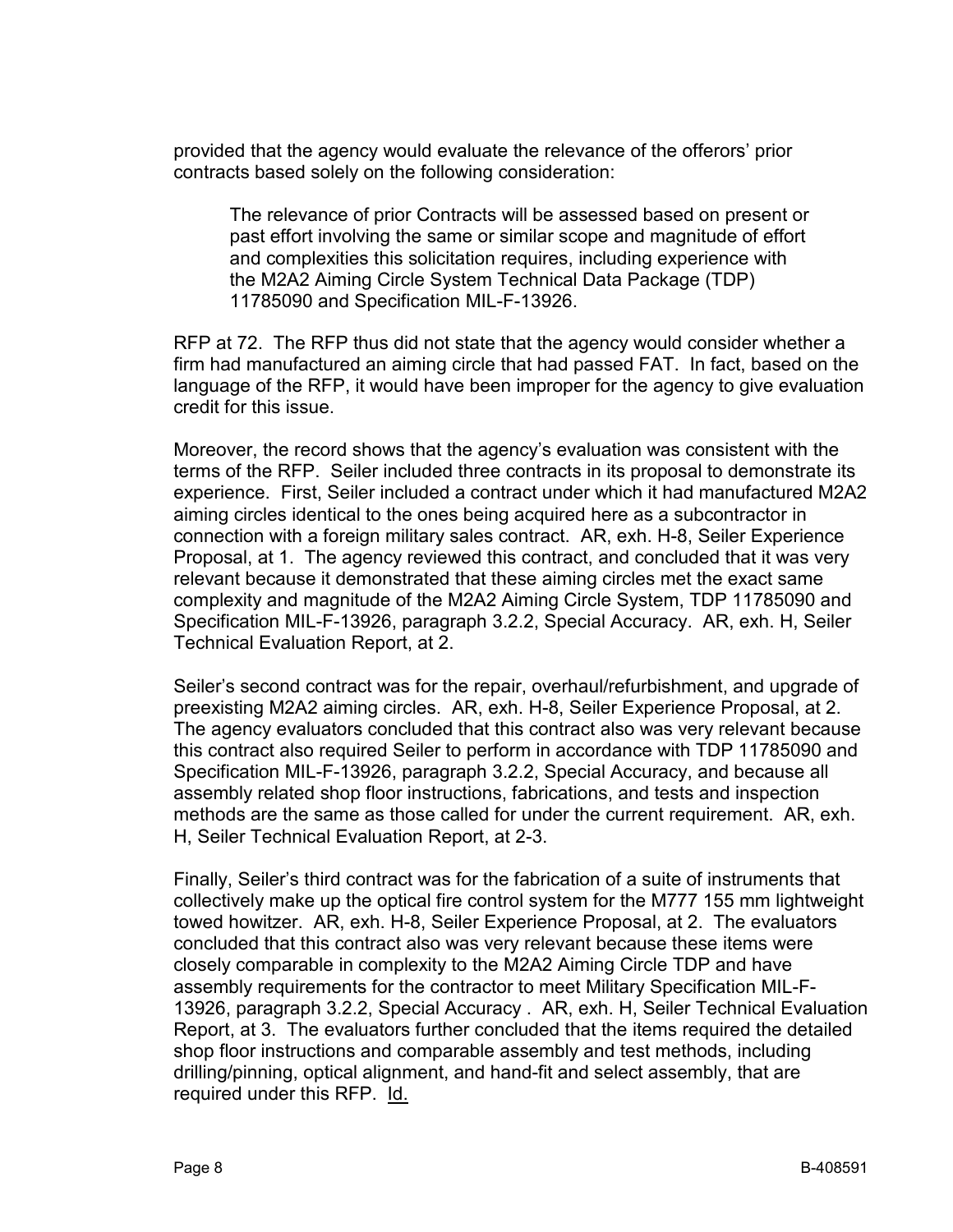provided that the agency would evaluate the relevance of the offerors' prior contracts based solely on the following consideration:

The relevance of prior Contracts will be assessed based on present or past effort involving the same or similar scope and magnitude of effort and complexities this solicitation requires, including experience with the M2A2 Aiming Circle System Technical Data Package (TDP) 11785090 and Specification MIL-F-13926.

RFP at 72. The RFP thus did not state that the agency would consider whether a firm had manufactured an aiming circle that had passed FAT. In fact, based on the language of the RFP, it would have been improper for the agency to give evaluation credit for this issue.

Moreover, the record shows that the agency's evaluation was consistent with the terms of the RFP. Seiler included three contracts in its proposal to demonstrate its experience. First, Seiler included a contract under which it had manufactured M2A2 aiming circles identical to the ones being acquired here as a subcontractor in connection with a foreign military sales contract. AR, exh. H-8, Seiler Experience Proposal, at 1. The agency reviewed this contract, and concluded that it was very relevant because it demonstrated that these aiming circles met the exact same complexity and magnitude of the M2A2 Aiming Circle System, TDP 11785090 and Specification MIL-F-13926, paragraph 3.2.2, Special Accuracy. AR, exh. H, Seiler Technical Evaluation Report, at 2.

Seiler's second contract was for the repair, overhaul/refurbishment, and upgrade of preexisting M2A2 aiming circles. AR, exh. H-8, Seiler Experience Proposal, at 2. The agency evaluators concluded that this contract also was very relevant because this contract also required Seiler to perform in accordance with TDP 11785090 and Specification MIL-F-13926, paragraph 3.2.2, Special Accuracy, and because all assembly related shop floor instructions, fabrications, and tests and inspection methods are the same as those called for under the current requirement. AR, exh. H, Seiler Technical Evaluation Report, at 2-3.

Finally, Seiler's third contract was for the fabrication of a suite of instruments that collectively make up the optical fire control system for the M777 155 mm lightweight towed howitzer. AR, exh. H-8, Seiler Experience Proposal, at 2. The evaluators concluded that this contract also was very relevant because these items were closely comparable in complexity to the M2A2 Aiming Circle TDP and have assembly requirements for the contractor to meet Military Specification MIL-F-13926, paragraph 3.2.2, Special Accuracy . AR, exh. H, Seiler Technical Evaluation Report, at 3. The evaluators further concluded that the items required the detailed shop floor instructions and comparable assembly and test methods, including drilling/pinning, optical alignment, and hand-fit and select assembly, that are required under this RFP. Id.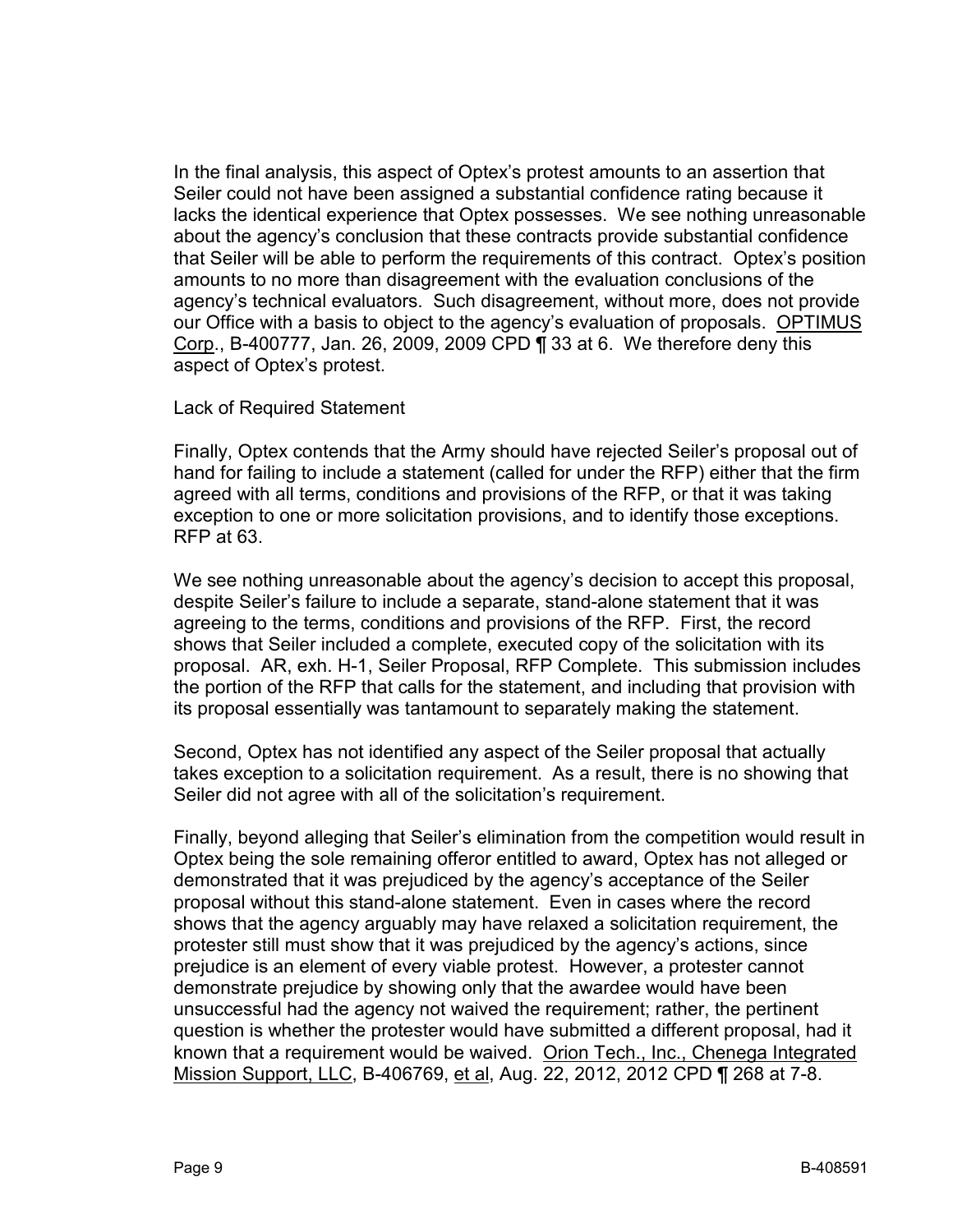In the final analysis, this aspect of Optex's protest amounts to an assertion that Seiler could not have been assigned a substantial confidence rating because it lacks the identical experience that Optex possesses. We see nothing unreasonable about the agency's conclusion that these contracts provide substantial confidence that Seiler will be able to perform the requirements of this contract. Optex's position amounts to no more than disagreement with the evaluation conclusions of the agency's technical evaluators. Such disagreement, without more, does not provide our Office with a basis to object to the agency's evaluation of proposals. OPTIMUS Corp., B-400777, Jan. 26, 2009, 2009 CPD ¶ 33 at 6. We therefore deny this aspect of Optex's protest.

Lack of Required Statement

Finally, Optex contends that the Army should have rejected Seiler's proposal out of hand for failing to include a statement (called for under the RFP) either that the firm agreed with all terms, conditions and provisions of the RFP, or that it was taking exception to one or more solicitation provisions, and to identify those exceptions. RFP at 63.

We see nothing unreasonable about the agency's decision to accept this proposal, despite Seiler's failure to include a separate, stand-alone statement that it was agreeing to the terms, conditions and provisions of the RFP. First, the record shows that Seiler included a complete, executed copy of the solicitation with its proposal. AR, exh. H-1, Seiler Proposal, RFP Complete. This submission includes the portion of the RFP that calls for the statement, and including that provision with its proposal essentially was tantamount to separately making the statement.

Second, Optex has not identified any aspect of the Seiler proposal that actually takes exception to a solicitation requirement. As a result, there is no showing that Seiler did not agree with all of the solicitation's requirement.

Finally, beyond alleging that Seiler's elimination from the competition would result in Optex being the sole remaining offeror entitled to award, Optex has not alleged or demonstrated that it was prejudiced by the agency's acceptance of the Seiler proposal without this stand-alone statement. Even in cases where the record shows that the agency arguably may have relaxed a solicitation requirement, the protester still must show that it was prejudiced by the agency's actions, since prejudice is an element of every viable protest. However, a protester cannot demonstrate prejudice by showing only that the awardee would have been unsuccessful had the agency not waived the requirement; rather, the pertinent question is whether the protester would have submitted a different proposal, had it known that a requirement would be waived. Orion Tech., Inc., Chenega Integrated Mission Support, LLC, B-406769, et al, Aug. 22, 2012, 2012 CPD ¶ 268 at 7-8.